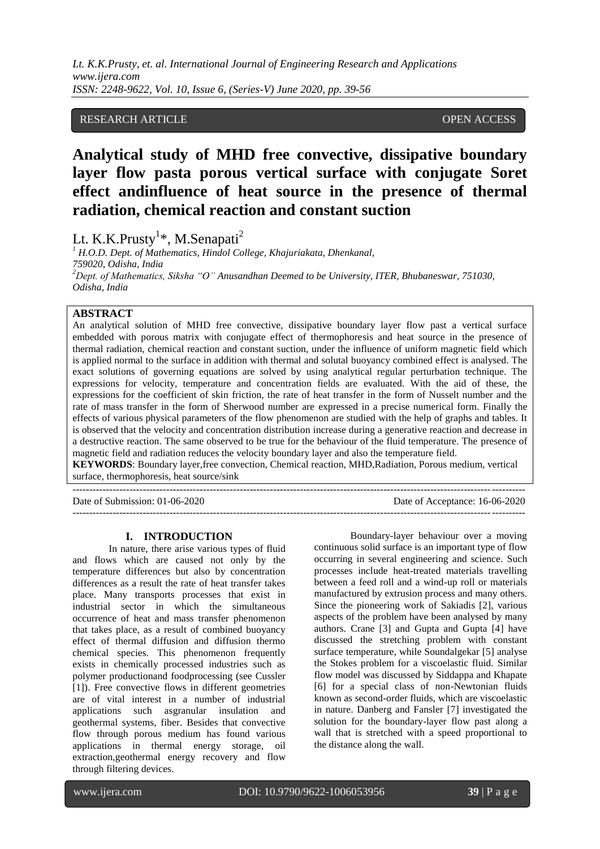*Lt. K.K.Prusty, et. al. International Journal of Engineering Research and Applications www.ijera.com ISSN: 2248-9622, Vol. 10, Issue 6, (Series-V) June 2020, pp. 39-56*

## RESEARCH ARTICLE **OPEN ACCESS**

# **Analytical study of MHD free convective, dissipative boundary layer flow pasta porous vertical surface with conjugate Soret effect andinfluence of heat source in the presence of thermal radiation, chemical reaction and constant suction**

Lt. K.K.Prusty<sup>1\*</sup>, M.Senapati<sup>2</sup>

*<sup>1</sup> H.O.D. Dept. of Mathematics, Hindol College, Khajuriakata, Dhenkanal, 759020, Odisha, India <sup>2</sup>Dept. of Mathematics, Siksha "O" Anusandhan Deemed to be University, ITER, Bhubaneswar, 751030, Odisha, India*

## **ABSTRACT**

An analytical solution of MHD free convective, dissipative boundary layer flow past a vertical surface embedded with porous matrix with conjugate effect of thermophoresis and heat source in the presence of thermal radiation, chemical reaction and constant suction, under the influence of uniform magnetic field which is applied normal to the surface in addition with thermal and solutal buoyancy combined effect is analysed. The exact solutions of governing equations are solved by using analytical regular perturbation technique. The expressions for velocity, temperature and concentration fields are evaluated. With the aid of these, the expressions for the coefficient of skin friction, the rate of heat transfer in the form of Nusselt number and the rate of mass transfer in the form of Sherwood number are expressed in a precise numerical form. Finally the effects of various physical parameters of the flow phenomenon are studied with the help of graphs and tables. It is observed that the velocity and concentration distribution increase during a generative reaction and decrease in a destructive reaction. The same observed to be true for the behaviour of the fluid temperature. The presence of magnetic field and radiation reduces the velocity boundary layer and also the temperature field.

**KEYWORDS**: Boundary layer,free convection, Chemical reaction, MHD,Radiation, Porous medium, vertical surface, thermophoresis, heat source/sink

---------------------------------------------------------------------------------------------------------------------------------------

Date of Submission: 01-06-2020 Date of Acceptance: 16-06-2020

#### **I. INTRODUCTION**

---------------------------------------------------------------------------------------------------------------------------------------

In nature, there arise various types of fluid and flows which are caused not only by the temperature differences but also by concentration differences as a result the rate of heat transfer takes place. Many transports processes that exist in industrial sector in which the simultaneous occurrence of heat and mass transfer phenomenon that takes place, as a result of combined buoyancy effect of thermal diffusion and diffusion thermo chemical species. This phenomenon frequently exists in chemically processed industries such as polymer productionand foodprocessing (see Cussler [1]). Free convective flows in different geometries are of vital interest in a number of industrial applications such asgranular insulation and geothermal systems, fiber. Besides that convective flow through porous medium has found various applications in thermal energy storage, oil extraction,geothermal energy recovery and flow through filtering devices.

Boundary-layer behaviour over a moving continuous solid surface is an important type of flow occurring in several engineering and science. Such processes include heat-treated materials travelling between a feed roll and a wind-up roll or materials manufactured by extrusion process and many others. Since the pioneering work of Sakiadis [2], various aspects of the problem have been analysed by many authors. Crane [3] and Gupta and Gupta [4] have discussed the stretching problem with constant surface temperature, while Soundalgekar [5] analyse the Stokes problem for a viscoelastic fluid. Similar flow model was discussed by Siddappa and Khapate [6] for a special class of non-Newtonian fluids known as second-order fluids, which are viscoelastic in nature. Danberg and Fansler [7] investigated the solution for the boundary-layer flow past along a wall that is stretched with a speed proportional to the distance along the wall.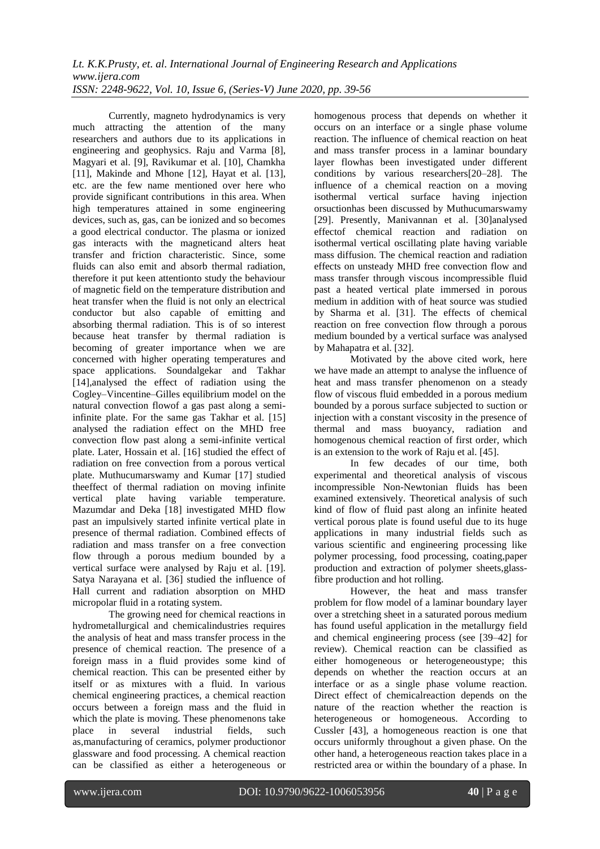Currently, magneto hydrodynamics is very much attracting the attention of the many researchers and authors due to its applications in engineering and geophysics. Raju and Varma [8], Magyari et al. [9], Ravikumar et al. [10], Chamkha [11], Makinde and Mhone [12], Hayat et al. [13], etc. are the few name mentioned over here who provide significant contributions in this area. When high temperatures attained in some engineering devices, such as, gas, can be ionized and so becomes a good electrical conductor. The plasma or ionized gas interacts with the magneticand alters heat transfer and friction characteristic. Since, some fluids can also emit and absorb thermal radiation, therefore it put keen attentionto study the behaviour of magnetic field on the temperature distribution and heat transfer when the fluid is not only an electrical conductor but also capable of emitting and absorbing thermal radiation. This is of so interest because heat transfer by thermal radiation is becoming of greater importance when we are concerned with higher operating temperatures and space applications. Soundalgekar and Takhar [14],analysed the effect of radiation using the Cogley–Vincentine–Gilles equilibrium model on the natural convection flowof a gas past along a semiinfinite plate. For the same gas Takhar et al. [15] analysed the radiation effect on the MHD free convection flow past along a semi-infinite vertical plate. Later, Hossain et al. [16] studied the effect of radiation on free convection from a porous vertical plate. Muthucumarswamy and Kumar [17] studied theeffect of thermal radiation on moving infinite vertical plate having variable temperature. Mazumdar and Deka [18] investigated MHD flow past an impulsively started infinite vertical plate in presence of thermal radiation. Combined effects of radiation and mass transfer on a free convection flow through a porous medium bounded by a vertical surface were analysed by Raju et al. [19]. Satya Narayana et al. [36] studied the influence of Hall current and radiation absorption on MHD micropolar fluid in a rotating system.

The growing need for chemical reactions in hydrometallurgical and chemicalindustries requires the analysis of heat and mass transfer process in the presence of chemical reaction. The presence of a foreign mass in a fluid provides some kind of chemical reaction. This can be presented either by itself or as mixtures with a fluid. In various chemical engineering practices, a chemical reaction occurs between a foreign mass and the fluid in which the plate is moving. These phenomenons take place in several industrial fields, such as,manufacturing of ceramics, polymer productionor glassware and food processing. A chemical reaction can be classified as either a heterogeneous or

homogenous process that depends on whether it occurs on an interface or a single phase volume reaction. The influence of chemical reaction on heat and mass transfer process in a laminar boundary layer flowhas been investigated under different conditions by various researchers[20–28]. The influence of a chemical reaction on a moving isothermal vertical surface having injection orsuctionhas been discussed by Muthucumarswamy [29]. Presently, Manivannan et al. [30]analysed effectof chemical reaction and radiation on isothermal vertical oscillating plate having variable mass diffusion. The chemical reaction and radiation effects on unsteady MHD free convection flow and mass transfer through viscous incompressible fluid past a heated vertical plate immersed in porous medium in addition with of heat source was studied by Sharma et al. [31]. The effects of chemical reaction on free convection flow through a porous medium bounded by a vertical surface was analysed by Mahapatra et al. [32].

Motivated by the above cited work, here we have made an attempt to analyse the influence of heat and mass transfer phenomenon on a steady flow of viscous fluid embedded in a porous medium bounded by a porous surface subjected to suction or injection with a constant viscosity in the presence of thermal and mass buoyancy, radiation and homogenous chemical reaction of first order, which is an extension to the work of Raju et al. [45].

In few decades of our time, both experimental and theoretical analysis of viscous incompressible Non-Newtonian fluids has been examined extensively. Theoretical analysis of such kind of flow of fluid past along an infinite heated vertical porous plate is found useful due to its huge applications in many industrial fields such as various scientific and engineering processing like polymer processing, food processing, coating,paper production and extraction of polymer sheets,glassfibre production and hot rolling.

However, the heat and mass transfer problem for flow model of a laminar boundary layer over a stretching sheet in a saturated porous medium has found useful application in the metallurgy field and chemical engineering process (see [39–42] for review). Chemical reaction can be classified as either homogeneous or heterogeneoustype; this depends on whether the reaction occurs at an interface or as a single phase volume reaction. Direct effect of chemicalreaction depends on the nature of the reaction whether the reaction is heterogeneous or homogeneous. According to Cussler [43], a homogeneous reaction is one that occurs uniformly throughout a given phase. On the other hand, a heterogeneous reaction takes place in a restricted area or within the boundary of a phase. In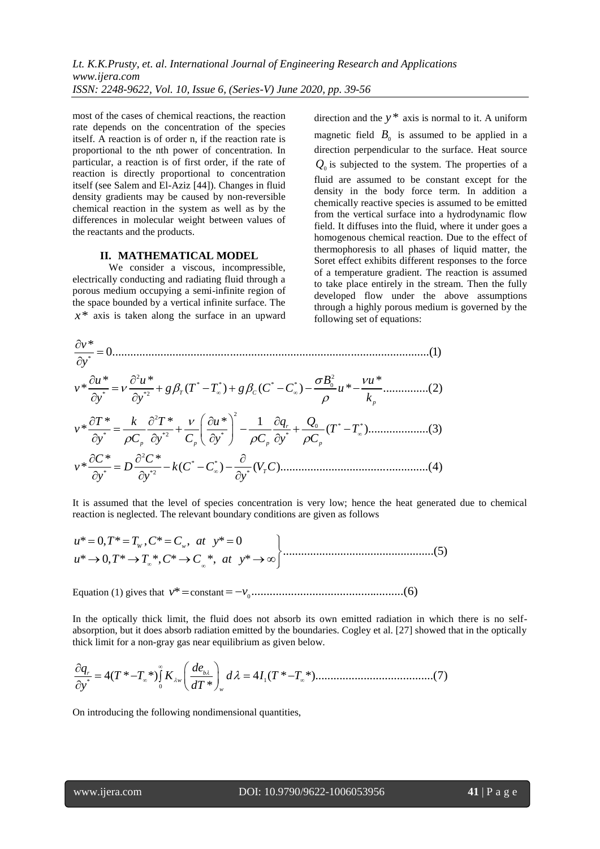most of the cases of chemical reactions, the reaction rate depends on the concentration of the species itself. A reaction is of order n, if the reaction rate is proportional to the nth power of concentration. In particular, a reaction is of first order, if the rate of reaction is directly proportional to concentration itself (see Salem and El-Aziz [44]). Changes in fluid density gradients may be caused by non-reversible chemical reaction in the system as well as by the differences in molecular weight between values of the reactants and the products.

#### **II. MATHEMATICAL MODEL**

We consider a viscous, incompressible, electrically conducting and radiating fluid through a porous medium occupying a semi-infinite region of the space bounded by a vertical infinite surface. The *x*\* axis is taken along the surface in an upward

direction and the  $y^*$  axis is normal to it. A uniform magnetic field  $B_0$  is assumed to be applied in a direction perpendicular to the surface. Heat source  $Q_0$  is subjected to the system. The properties of a fluid are assumed to be constant except for the density in the body force term. In addition a chemically reactive species is assumed to be emitted from the vertical surface into a hydrodynamic flow field. It diffuses into the fluid, where it under goes a homogenous chemical reaction. Due to the effect of thermophoresis to all phases of liquid matter, the Soret effect exhibits different responses to the force of a temperature gradient. The reaction is assumed to take place entirely in the stream. Then the fully developed flow under the above assumptions through a highly porous medium is governed by the following set of equations:

$$
\frac{\partial v^*}{\partial y^*} = 0
$$
\n
$$
v^* \frac{\partial u^*}{\partial y^*} = v \frac{\partial^2 u^*}{\partial y^{*2}} + g \beta_T (T^* - T^*) + g \beta_C (C^* - C^*) - \frac{\sigma B_0^2}{\rho} u^* - \frac{vu^*}{k_p} \dots \dots \dots \dots (2)
$$
\n
$$
v^* \frac{\partial T^*}{\partial y^*} = \frac{k}{\rho C_p} \frac{\partial^2 T^*}{\partial y^{*2}} + \frac{v}{C_p} \left(\frac{\partial u^*}{\partial y^*}\right)^2 - \frac{1}{\rho C_p} \frac{\partial q_r}{\partial y^*} + \frac{Q_0}{\rho C_p} (T^* - T^*) \dots \dots \dots \dots (3)
$$
\n
$$
v^* \frac{\partial C^*}{\partial y^*} = D \frac{\partial^2 C^*}{\partial y^{*2}} - k(C^* - C^*) - \frac{\partial}{\partial y^*} (V_T C) \dots \dots \dots \dots \dots (4)
$$

It is assumed that the level of species concentration is very low; hence the heat generated due to chemical reaction is neglected. The relevant boundary conditions are given as follows<br>  $u^* = 0, T^* = T_w, C^* = C_w, at y^* = 0$ 

reaction is neglected. The relevant boundary conditions are given as follows  
\n
$$
u^* = 0, T^* = T_w, C^* = C_w, at y^* = 0
$$
  
\n $u^* \rightarrow 0, T^* \rightarrow T_\infty^*, C^* \rightarrow C_\infty^*, at y^* \rightarrow \infty$  (5)

Equation (1) gives that *v*\* constant 0 *<sup>v</sup>* ..................................................(6)

In the optically thick limit, the fluid does not absorb its own emitted radiation in which there is no selfabsorption, but it does absorb radiation emitted by the boundaries. Cogley et al. [27] showed that in the optically thick limit for a non-gray gas near equilibrium as given below.<br> $\frac{\partial q_r}{\partial x^*} = 4(T^* - T_*^*)\int K_{\lambda w} \left(\frac{de_{b$ thick limit for a non-gray gas near equilibrium as given below.

\* 1 0 4( \* \*) 4 ( \* \*).......................................(7) \* *r b w w <sup>q</sup> de T T K d I T T y dT* 

On introducing the following nondimensional quantities,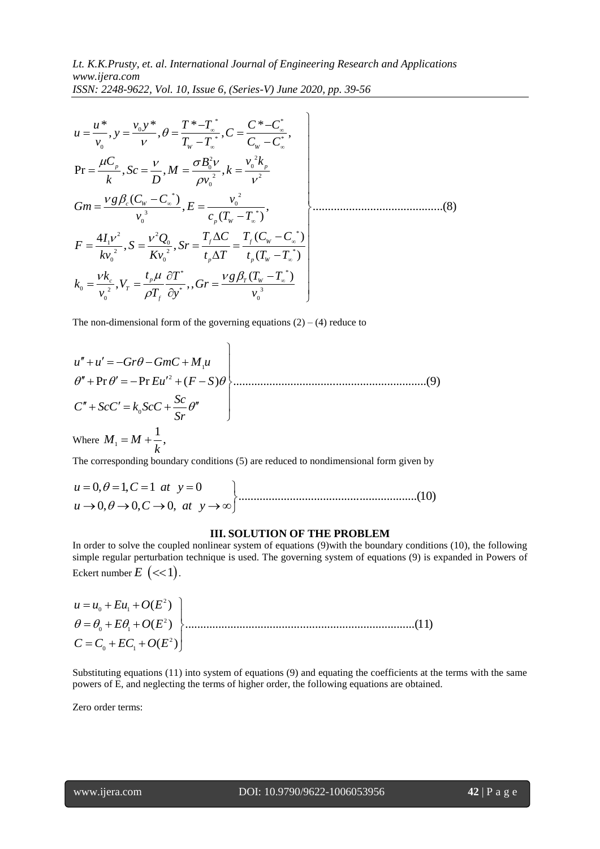$$
USSN: 2248-9622, Vol. 10, Issue 6, (Series-V) June 2020, pp. 39-56
$$
\n
$$
u = \frac{u^*}{v_0}, y = \frac{v_0 y^*}{v}, \theta = \frac{T^* - T_a^*}{T_w - T_a^*}, C = \frac{C^* - C_a^*}{C_w - C_a^*},
$$
\n
$$
Pr = \frac{\mu C_p}{k}, Sc = \frac{v}{D}, M = \frac{\sigma B_0^2 v}{\rho v_0^2}, k = \frac{v_0^2 k_p}{v^2}
$$
\n
$$
Gm = \frac{vg \beta_c (C_w - C_a^*)}{v_0^3}, E = \frac{v_0^2}{c_p (T_w - T_a^*)},
$$
\n
$$
F = \frac{4I_1 v^2}{kv_0^2}, S = \frac{v^2 Q_0}{K v_0^2}, Sr = \frac{T_f \Delta C}{t_p \Delta T} = \frac{T_f (C_w - C_a^*)}{t_p (T_w - T_a^*)}
$$
\n
$$
k_0 = \frac{vk_c}{v_0^2}, V_T = \frac{t_p \mu}{\rho T_f} \frac{\partial T^*}{\partial y^*},, Gr = \frac{v g \beta_T (T_w - T_a^*)}{v_0^3}
$$

The non-dimensional form of the governing equations (2) – (4) reduce to  
\n
$$
u'' + u' = -Gr\theta - GmC + M_1u
$$
  
\n $\theta'' + Pr \theta' = -Pr Eu'^2 + (F - S)\theta$   
\n $C'' + ScC' = k_0ScC + \frac{Sc}{Sr}\theta''$   
\nWhere  $M_1 = M + \frac{1}{k}$ ,

The corresponding boundary conditions (5) are reduced to nondimensional form given by

where 
$$
M_1 = M + \frac{1}{k}
$$
,  
The corresponding boundary conditions (5) are reduced to nondimensional form given by  
 $u = 0, \theta = 1, C = 1$  at  $y = 0$   
 $u \rightarrow 0, \theta \rightarrow 0, C \rightarrow 0$ , at  $y \rightarrow \infty$  (10)

### **III. SOLUTION OF THE PROBLEM**

In order to solve the coupled nonlinear system of equations (9)with the boundary conditions (10), the following simple regular perturbation technique is used. The governing system of equations (9) is expanded in Powers of

|                                                                       | simple regular perturbation technique is used. The governing system of equations (7) is $\sigma$ |
|-----------------------------------------------------------------------|--------------------------------------------------------------------------------------------------|
| Eckert number $E$ $\left\langle \ll 1 \right\rangle$ .                |                                                                                                  |
|                                                                       |                                                                                                  |
| $u = u_0 + Eu_1 + O(E^2)$<br>$\theta = \theta_0 + E\theta_1 + O(E^2)$ |                                                                                                  |
| $C = C_0 + EC_1 + O(E^2)$                                             |                                                                                                  |
|                                                                       |                                                                                                  |

Substituting equations (11) into system of equations (9) and equating the coefficients at the terms with the same powers of E, and neglecting the terms of higher order, the following equations are obtained.

Zero order terms: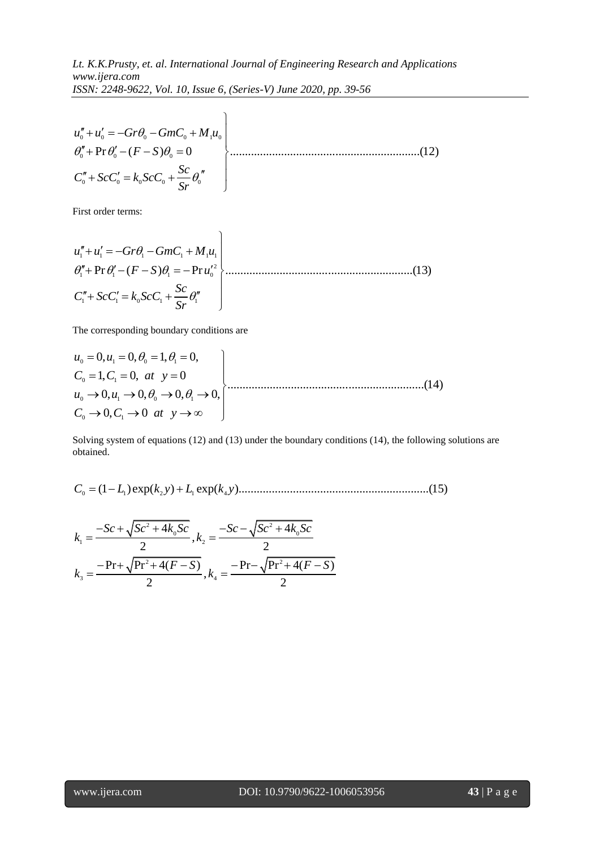$$
ISSN: 2248-9622, Vol. 10, Issue 6, (Series-V) June 2020, pp. 39-56
$$
  

$$
u''_0 + u'_0 = -Gr\theta_0 - GmC_0 + M_1u_0
$$
  

$$
\theta''_0 + \Pr \theta'_0 - (F - S)\theta_0 = 0
$$
  

$$
C''_0 + ScC'_0 = k_0ScC_0 + \frac{Sc}{Sr}\theta''_0
$$
 (12)

First order terms:

First order terms:  
\n
$$
u''_1 + u'_1 = -Gr\theta_1 - GmC_1 + M_1u_1
$$
\n
$$
\theta''_1 + \Pr \theta'_1 - (F - S)\theta_1 = -\Pr u'^2_0
$$
\n
$$
C''_1 + ScC'_1 = k_0 ScC_1 + \frac{Sc}{Sr} \theta''_1
$$
\n(13)

The corresponding boundary conditions are

The corresponding boundary conditions are  
\n
$$
u_0 = 0
$$
,  $u_1 = 0$ ,  $\theta_0 = 1$ ,  $\theta_1 = 0$ ,  
\n $C_0 = 1$ ,  $C_1 = 0$ , at  $y = 0$   
\n $u_0 \rightarrow 0$ ,  $u_1 \rightarrow 0$ ,  $\theta_0 \rightarrow 0$ ,  $\theta_1 \rightarrow 0$ ,  
\n $C_0 \rightarrow 0$ ,  $C_1 \rightarrow 0$  at  $y \rightarrow \infty$  (14)

Solving system of equations (12) and (13) under the boundary conditions (14), the following solutions are obtained. (1 )exp( ) exp( )...............................................................(15) bootving system of equations (12) and (1)<br>bobtained.<br> $C_0 = (1 - L_1) \exp(k_2 y) + L_1 \exp(k_4 y)$ ing system of equations (12) and (13)<br>ined.<br>=  $(1 - L_1) \exp(k_2 y) + L_1 \exp(k_4 y)$ 

0 1 2 1 4

$$
C_0 = (1 - L_1) \exp(k_2 y) + L_1 \exp(k_4 y) \dots
$$
  

$$
k_1 = \frac{-Sc + \sqrt{Sc^2 + 4k_0Sc}}{2}, k_2 = \frac{-Sc - \sqrt{Sc^2 + 4k_0Sc}}{2}
$$
  

$$
k_3 = \frac{-\Pr + \sqrt{\Pr^2 + 4(F - S)}}{2}, k_4 = \frac{-\Pr - \sqrt{\Pr^2 + 4(F - S)}}{2}
$$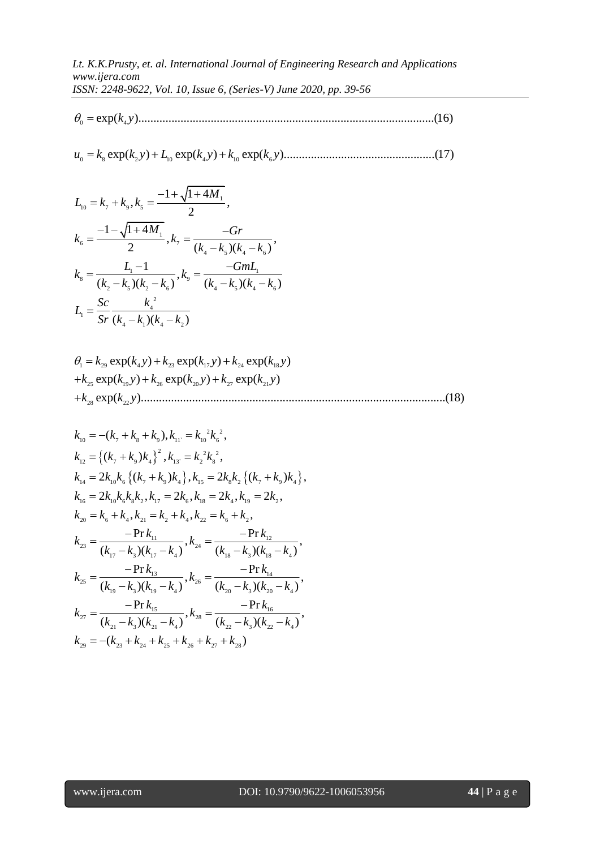$\theta_{0} =$ 

0 8 2 10 4 10 6 exp( ) exp( ) exp( ).................................................. *u k k y L k y k k y* (17) 1 1 4

$$
u_0 = k_s \exp(k_2 y) + L_{10} \exp(k_4 y) + k_{10} \exp(k_6 y) \dots
$$
  
\n
$$
L_{10} = k_7 + k_9, k_5 = \frac{-1 + \sqrt{1 + 4M_1}}{2},
$$
  
\n
$$
k_6 = \frac{-1 - \sqrt{1 + 4M_1}}{2}, k_7 = \frac{-Gr}{(k_4 - k_5)(k_4 - k_6)},
$$
  
\n
$$
k_8 = \frac{L_1 - 1}{(k_2 - k_5)(k_2 - k_6)}, k_9 = \frac{-GmL_1}{(k_4 - k_5)(k_4 - k_6)}
$$
  
\n
$$
L_1 = \frac{Sc}{Sr} \frac{k_4^2}{(k_4 - k_1)(k_4 - k_2)}
$$

<sup>1</sup>  $\overline{S}r (k_4 - k_1)(k_4 - k_2)$ <br>
<sup>1</sup><sub>1</sub> =  $k_{29} \exp(k_4 y) + k_{23} \exp(k_{17} y) + k_{24} \exp(k_{18} y)$  $+k_{25} \exp(k_{19}y) + k_{26} \exp(k_{20}y) + k_{27} \exp(k_{21}y)$ 28 22 exp( ).....................................................................................................(18) *k k y*  $k_{29} \exp(k_4 y) + k_{23} \exp(k_{17} y) + k_{24} \exp(k_{18} \exp(k_{19} y) + k_{26} \exp(k_{20} y) + k_{27} \exp(k_{21} y)$ Sr  $(k_4 - k_1)(k_4 - k_2)$ <br>  $k_{29} \exp(k_4 y) + k_{23} \exp(k_{17} y) + k_{24} \exp(k_{18} y)$  $k_{29}$  exp( $k_{4}y$ ) +  $k_{23}$  exp( $k_{17}y$ ) +  $k_{24}$  exp( $k_{18}$ )<br> $k_{25}$  exp( $k_{19}y$ ) +  $k_{26}$  exp( $k_{20}y$ ) +  $k_{27}$  exp( $k_{21}y$  $L_1 = \frac{1}{Sr} \frac{k_4 - k_1(k_4 - k_2)}{(k_4 - k_1)(k_4 - k_2)}$ <br>  $\theta_1 = k_{29} \exp(k_4 y) + k_{23} \exp(k_{17} y) + k_{24} \exp(k_{18} y)$  $\theta_1 = k_{29} \exp(k_4 y) + k_{23} \exp(k_{17} y) + k_{24} \exp(k_{18} y) + k_{25} \exp(k_{19} y) + k_{26} \exp(k_{20} y) + k_{27} \exp(k_{21} y)$ 

10 *k* ( ), , *k k k k k k* 2 2 7 8 9 11` 10 6 <sup>2</sup> 2 2 12 7 9 4 13` 2 8 14 10 6 7 9 4 15 8 2 7 9 4 16 10 6 8 2 17 6 18 4 19 2 20 6 4 21 2 4 22 6 2 11 12 23 24 17 3 17 4 ( ) , , 2 ( ) , 2 ( ) , 2 , 2 , 2 , 2 , , , , Pr Pr , ( )( ) ( *k k k k k k k k k k k k k k k k k k k k k k k k k k k k k k k k k k k k k k k k k k k k k k k k* 18 3 18 4 13 14 25 26 19 3 19 4 20 3 20 4 15 16 27 28 21 3 21 4 22 3 22 4 29 23 24 25 26 27 28 , )( ) Pr Pr , , ( )( ) ( )( ) Pr Pr , , ( )( ) ( )( ) ( ) *k k k k k k k k k k k k k k k k k k k k k k k k k k k k k k k k k k*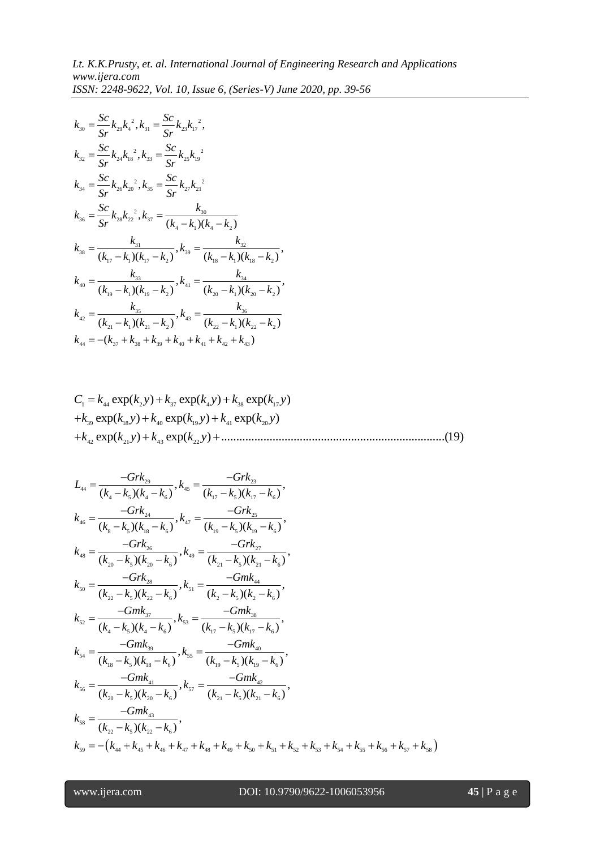$$
k_{30} = \frac{Sc}{Sr} k_{29} k_4^2, k_{31} = \frac{Sc}{Sr} k_{23} k_{17}^2,
$$
  
\n
$$
k_{32} = \frac{Sc}{Sr} k_{24} k_{18}^2, k_{33} = \frac{Sc}{Sr} k_{25} k_{19}^2,
$$
  
\n
$$
k_{34} = \frac{Sc}{Sr} k_{26} k_{20}^2, k_{35} = \frac{Sc}{Sr} k_{27} k_{21}^2
$$
  
\n
$$
k_{36} = \frac{Sc}{Sr} k_{28} k_{22}^2, k_{37} = \frac{k_{30}}{(k_4 - k_1)(k_4 - k_2)}
$$
  
\n
$$
k_{38} = \frac{k_{31}}{(k_{17} - k_1)(k_{17} - k_2)}, k_{39} = \frac{k_{32}}{(k_{18} - k_1)(k_{18} - k_2)},
$$
  
\n
$$
k_{40} = \frac{k_{33}}{(k_{19} - k_1)(k_{19} - k_2)}, k_{41} = \frac{k_{34}}{(k_{20} - k_1)(k_{20} - k_2)},
$$
  
\n
$$
k_{42} = \frac{k_{35}}{(k_{21} - k_1)(k_{21} - k_2)}, k_{43} = \frac{k_{36}}{(k_{22} - k_1)(k_{22} - k_2)},
$$
  
\n
$$
k_{44} = -(k_{37} + k_{38} + k_{39} + k_{40} + k_{41} + k_{42} + k_{43})
$$

$$
C_1 = k_{44} \exp(k_2 y) + k_{37} \exp(k_4 y) + k_{38} \exp(k_{17} y)
$$
  
+
$$
k_{39} \exp(k_{18} y) + k_{40} \exp(k_{19} y) + k_{41} \exp(k_{20} y)
$$
  
+
$$
k_{42} \exp(k_{21} y) + k_{43} \exp(k_{22} y) + \dots
$$
 (19)

+
$$
k_{42}
$$
 exp( $k_{21}$ ) +  $k_{43}$  exp( $k_{22}$ ) + .......  
\n $L_{44} = \frac{-Grk_{29}}{(k_4 - k_5)(k_4 - k_6)}, k_{45} = \frac{-Grk_{23}}{(k_{17} - k_5)(k_{17} - k_6)},$   
\n $k_{46} = \frac{-Grk_{24}}{(k_8 - k_5)(k_{18} - k_6)}, k_{47} = \frac{-Grk_{25}}{(k_{19} - k_5)(k_{19} - k_6)},$   
\n $k_{48} = \frac{-Grk_{26}}{(k_{20} - k_5)(k_{20} - k_6)}, k_{49} = \frac{-Grk_{27}}{(k_{21} - k_5)(k_{21} - k_6)},$   
\n $k_{50} = \frac{-Grk_{28}}{(k_{22} - k_5)(k_{22} - k_6)}, k_{51} = \frac{-Gmk_{44}}{(k_2 - k_5)(k_2 - k_6)},$   
\n $k_{52} = \frac{-Gmk_{37}}{(k_4 - k_5)(k_4 - k_6)}, k_{53} = \frac{-Gmk_{38}}{(k_1 - k_5)(k_1 - k_6)},$   
\n $k_{54} = \frac{-Gmk_{39}}{(k_{18} - k_5)(k_{18} - k_6)}, k_{55} = \frac{-Gmk_{30}}{(k_{19} - k_5)(k_{19} - k_6)},$   
\n $k_{56} = \frac{-Gmk_{41}}{(k_{20} - k_5)(k_{20} - k_6)}, k_{57} = \frac{-Gmk_{42}}{(k_{21} - k_5)(k_{21} - k_6)},$   
\n $k_{58} = \frac{-Gmk_{43}}{(k_{22} - k_5)(k_{22} - k_6)}, k_{57} = \frac{-Gmk_{42}}{(k_{21} - k_5)(k_{21} - k_6)},$   
\n $k_{58} = \frac{-Gmk_{43}}{(k_{22} - k_5)(k_{22} - k_6)},$   
\n $k_{59} = -(k_{44} + k_{45} + k_{46} + k_{47} + k_{48} + k_{49} + k_{50} + k$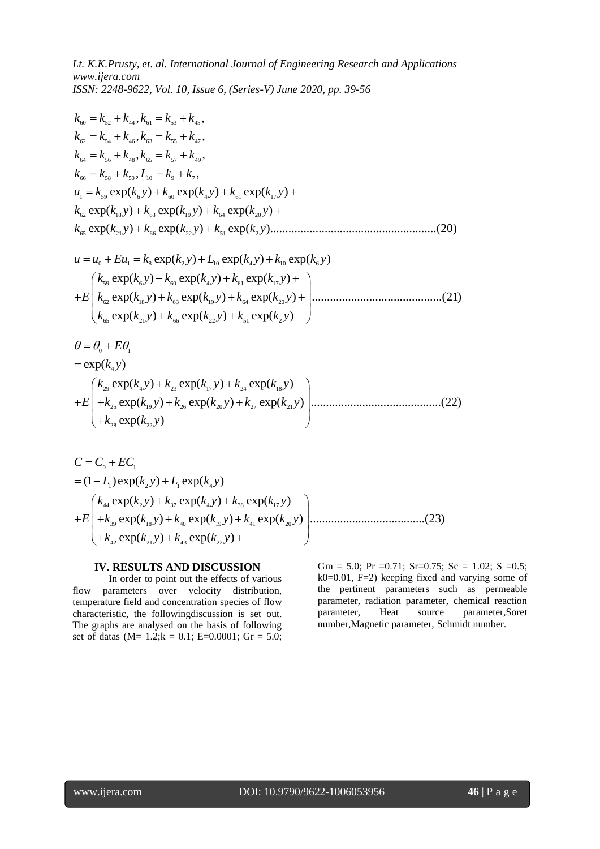$$
1255N: 2248-9622, Vol. 10, Issue 6, (Series-V) June 2020, pp. 39-56
$$
\n
$$
k_{60} = k_{52} + k_{44}, k_{61} = k_{53} + k_{45},
$$
\n
$$
k_{62} = k_{54} + k_{46}, k_{63} = k_{55} + k_{47},
$$
\n
$$
k_{64} = k_{56} + k_{48}, k_{65} = k_{57} + k_{49},
$$
\n
$$
k_{66} = k_{58} + k_{50}, L_{10} = k_9 + k_7,
$$
\n
$$
u_1 = k_{59} \exp(k_6 y) + k_{60} \exp(k_4 y) + k_{61} \exp(k_{17} y) +
$$
\n
$$
k_{62} \exp(k_{18} y) + k_{63} \exp(k_{19} y) + k_{64} \exp(k_{20} y) +
$$
\n
$$
k_{65} \exp(k_{21} y) + k_{66} \exp(k_{22} y) + k_{51} \exp(k_2 y) +
$$
\n
$$
u = u_0 + E u_1 = k_8 \exp(k_2 y) + L_{10} \exp(k_4 y) + k_{10} \exp(k_6 y)
$$
\n
$$
k_{59} \exp(k_6 y) + k_{60} \exp(k_4 y) + k_{61} \exp(k_{17} y) +
$$
\n
$$
+ E \begin{pmatrix} k_{59} \exp(k_{18} y) + k_{63} \exp(k_{19} y) + k_{64} \exp(k_{20} y) + k_{65} \exp(k_{21} y) + k_{66} \exp(k_{22} y) + k_{51} \exp(k_{22} y) + k_{51} \exp(k_{22} y) + k_{51} \exp(k_{22} y) \end{pmatrix}
$$

$$
(k_{65} \exp(k_{21}y) + k_{66} \exp(k_{22}y) + k_{51} \exp(k_2y)
$$
  
\n
$$
\theta = \theta_0 + E\theta_1
$$
  
\n
$$
= \exp(k_4y)
$$
  
\n
$$
+ E\left(\frac{k_{29} \exp(k_4y) + k_{23} \exp(k_{17}y) + k_{24} \exp(k_{18}y)}{k_{25} \exp(k_{19}y) + k_{26} \exp(k_{20}y) + k_{27} \exp(k_{21}y)}\right)
$$
.................(22)

$$
(+k_{28} \exp(k_{22} y)
$$
  
\n
$$
C = C_0 + EC_1
$$
  
\n
$$
= (1 - L_1) \exp(k_2 y) + L_1 \exp(k_4 y)
$$
  
\n
$$
+ E\left(k_{44} \exp(k_2 y) + k_{37} \exp(k_4 y) + k_{38} \exp(k_{17} y) + k_{48} \exp(k_{19} y) + k_{41} \exp(k_{20} y)\right)
$$
  
\n
$$
+ k_{42} \exp(k_{21} y) + k_{43} \exp(k_{22} y) + k_{44} \exp(k_{22} y)
$$

## **IV. RESULTS AND DISCUSSION**

In order to point out the effects of various flow parameters over velocity distribution, temperature field and concentration species of flow characteristic, the followingdiscussion is set out. The graphs are analysed on the basis of following set of datas (M=  $1.2$ ; k = 0.1; E=0.0001; Gr = 5.0;

Gm = 5.0; Pr = 0.71; Sr=0.75; Sc = 1.02; S = 0.5; k0=0.01, F=2) keeping fixed and varying some of the pertinent parameters such as permeable parameter, radiation parameter, chemical reaction parameter, Heat source parameter,Soret number,Magnetic parameter, Schmidt number.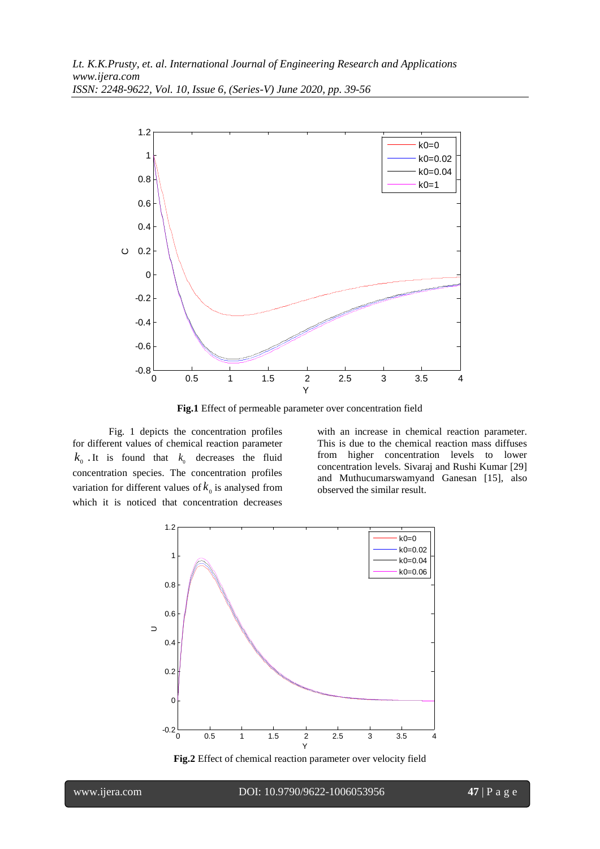

**Fig.1** Effect of permeable parameter over concentration field

Fig. 1 depicts the concentration profiles for different values of chemical reaction parameter  $k_0$ . It is found that  $k_0$  decreases the fluid concentration species. The concentration profiles variation for different values of  $k_0$  is analysed from which it is noticed that concentration decreases

with an increase in chemical reaction parameter. This is due to the chemical reaction mass diffuses from higher concentration levels to lower concentration levels. Sivaraj and Rushi Kumar [29] and Muthucumarswamyand Ganesan [15], also observed the similar result.



**Fig.2** Effect of chemical reaction parameter over velocity field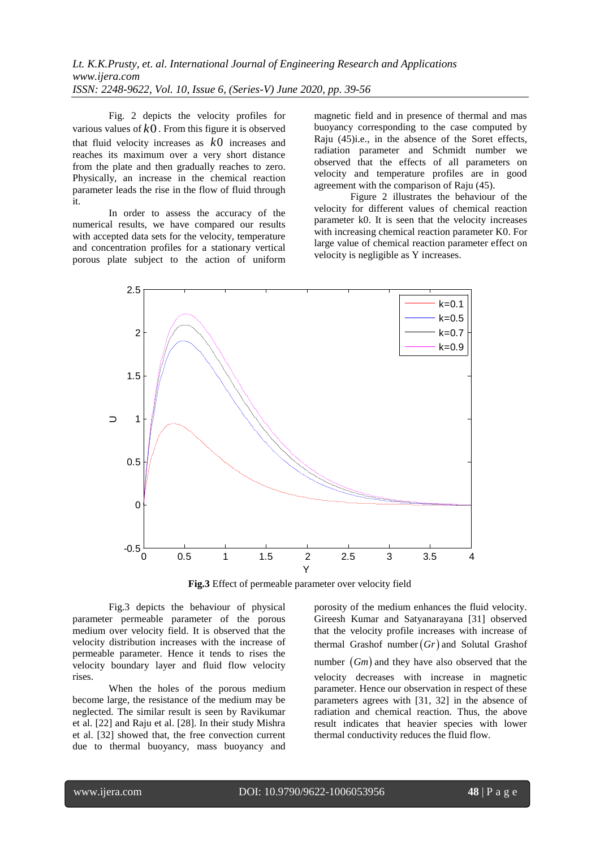*Lt. K.K.Prusty, et. al. International Journal of Engineering Research and Applications www.ijera.com ISSN: 2248-9622, Vol. 10, Issue 6, (Series-V) June 2020, pp. 39-56*

Fig. 2 depicts the velocity profiles for various values of *k*0 . From this figure it is observed that fluid velocity increases as *k*0 increases and reaches its maximum over a very short distance from the plate and then gradually reaches to zero. Physically, an increase in the chemical reaction parameter leads the rise in the flow of fluid through it.

In order to assess the accuracy of the numerical results, we have compared our results with accepted data sets for the velocity, temperature and concentration profiles for a stationary vertical porous plate subject to the action of uniform magnetic field and in presence of thermal and mas buoyancy corresponding to the case computed by Raju (45)i.e., in the absence of the Soret effects, radiation parameter and Schmidt number we observed that the effects of all parameters on velocity and temperature profiles are in good agreement with the comparison of Raju (45).

Figure 2 illustrates the behaviour of the velocity for different values of chemical reaction parameter k0. It is seen that the velocity increases with increasing chemical reaction parameter K0. For large value of chemical reaction parameter effect on velocity is negligible as Y increases.



**Fig.3** Effect of permeable parameter over velocity field

Fig.3 depicts the behaviour of physical parameter permeable parameter of the porous medium over velocity field. It is observed that the velocity distribution increases with the increase of permeable parameter. Hence it tends to rises the velocity boundary layer and fluid flow velocity rises.

When the holes of the porous medium become large, the resistance of the medium may be neglected. The similar result is seen by Ravikumar et al. [22] and Raju et al. [28]. In their study Mishra et al. [32] showed that, the free convection current due to thermal buoyancy, mass buoyancy and porosity of the medium enhances the fluid velocity. Gireesh Kumar and Satyanarayana [31] observed that the velocity profile increases with increase of thermal Grashof number  $(Gr)$  and Solutal Grashof number  $(Gm)$  and they have also observed that the velocity decreases with increase in magnetic parameter. Hence our observation in respect of these parameters agrees with [31, 32] in the absence of radiation and chemical reaction. Thus, the above result indicates that heavier species with lower thermal conductivity reduces the fluid flow.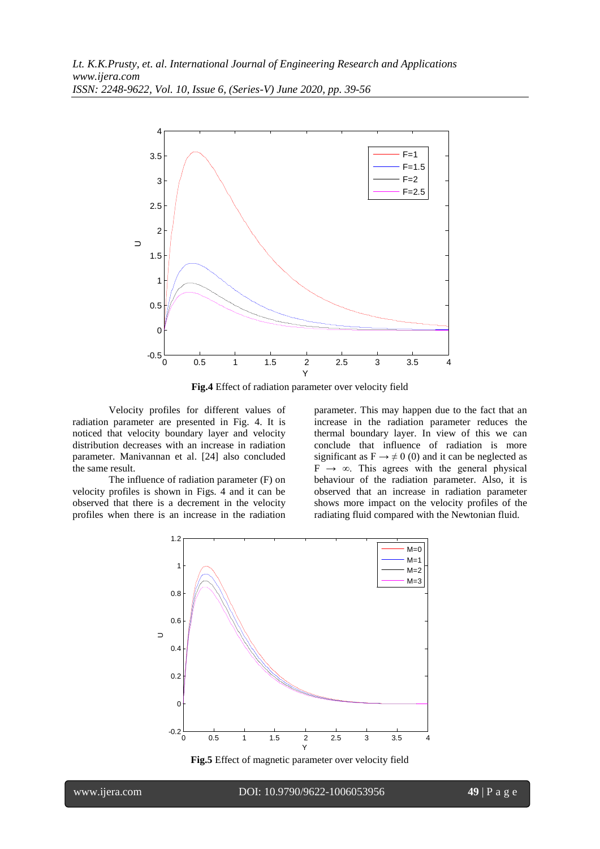

**Fig.4** Effect of radiation parameter over velocity field

Velocity profiles for different values of radiation parameter are presented in Fig. 4. It is noticed that velocity boundary layer and velocity distribution decreases with an increase in radiation parameter. Manivannan et al. [24] also concluded the same result.

The influence of radiation parameter (F) on velocity profiles is shown in Figs. 4 and it can be observed that there is a decrement in the velocity profiles when there is an increase in the radiation parameter. This may happen due to the fact that an increase in the radiation parameter reduces the thermal boundary layer. In view of this we can conclude that influence of radiation is more significant as  $F \rightarrow \neq 0$  (0) and it can be neglected as  $F \rightarrow \infty$ . This agrees with the general physical behaviour of the radiation parameter. Also, it is observed that an increase in radiation parameter shows more impact on the velocity profiles of the radiating fluid compared with the Newtonian fluid.



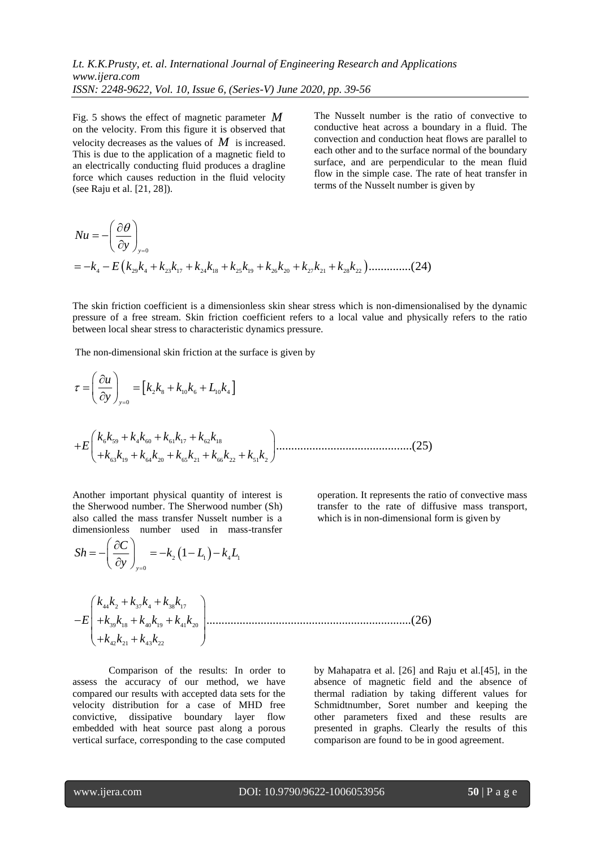Fig. 5 shows the effect of magnetic parameter *M* on the velocity. From this figure it is observed that velocity decreases as the values of  $M$  is increased. This is due to the application of a magnetic field to an electrically conducting fluid produces a dragline force which causes reduction in the fluid velocity

The Nusselt number is the ratio of convective to conductive heat across a boundary in a fluid. The convection and conduction heat flows are parallel to each other and to the surface normal of the boundary surface, and are perpendicular to the mean fluid flow in the simple case. The rate of heat transfer in terms of the Nusselt number is given by

(see Raju et al. [21, 28]).  
\n
$$
Nu = -\left(\frac{\partial \theta}{\partial y}\right)_{y=0}
$$
\n
$$
= -k_4 - E\left(k_{29}k_4 + k_{23}k_{17} + k_{24}k_{18} + k_{25}k_{19} + k_{26}k_{20} + k_{27}k_{21} + k_{28}k_{22}\right) \dots \dots \dots \dots \dots (24)
$$

The skin friction coefficient is a dimensionless skin shear stress which is non-dimensionalised by the dynamic pressure of a free stream. Skin friction coefficient refers to a local value and physically refers to the ratio between local shear stress to characteristic dynamics pressure.

The non-dimensional skin friction at the surface is given by  
\n
$$
\tau = \left(\frac{\partial u}{\partial y}\right)_{y=0} = \left[k_2k_8 + k_{10}k_6 + L_{10}k_4\right]
$$
\n
$$
+E\left(\frac{k_6k_{59} + k_4k_{60} + k_{61}k_{17} + k_{62}k_{18}}{+k_{63}k_{19} + k_{64}k_{20} + k_{65}k_{21} + k_{66}k_{22} + k_{51}k_2}\right)
$$
\n(25)

Another important physical quantity of interest is the Sherwood number. The Sherwood number (Sh)<br>also called the mass transfer Nusselt number is a<br>dimensionless number used in mass-transfer<br> $Sh = -\left(\frac{\partial C}{\partial s}\right) = -k_2(1-L_1) - k_4L_1$ dimensionless number used in mass-transfer

operation. It represents the ratio of convective mass transfer to the rate of diffusive mass transport, which is in non-dimensional form is given by

the snerwood number. The sierwood number (sn)  
also called the mass transfer Nusselt number is a  
dimensionless number used in mass-transfer  

$$
Sh = -\left(\frac{\partial C}{\partial y}\right)_{y=0} = -k_2 \left(1 - L_1\right) - k_4 L_1
$$

$$
-E \left(k_{44}k_2 + k_{37}k_4 + k_{38}k_{17}\right) - E \left(k_{43}k_3 + k_{40}k_{19} + k_{41}k_{20}\right) \dots
$$

39 18 40 19 41 20 42 21 43 2 2 ....................................................................(26) *k k k k k k k k k E k* 

Comparison of the results: In order to assess the accuracy of our method, we have compared our results with accepted data sets for the velocity distribution for a case of MHD free convictive, dissipative boundary layer flow embedded with heat source past along a porous vertical surface, corresponding to the case computed by Mahapatra et al. [26] and Raju et al.[45], in the absence of magnetic field and the absence of thermal radiation by taking different values for Schmidtnumber, Soret number and keeping the other parameters fixed and these results are presented in graphs. Clearly the results of this comparison are found to be in good agreement.

 $\partial C$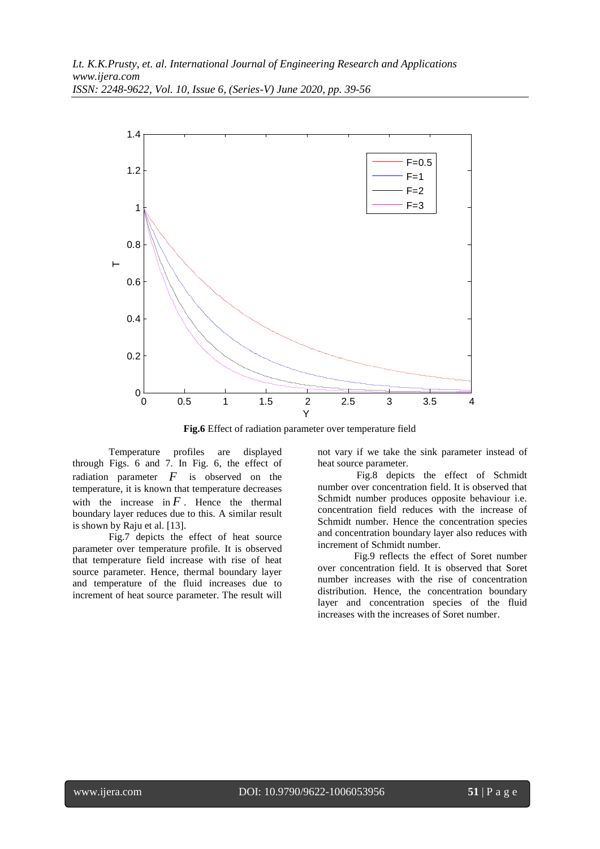

**Fig.6** Effect of radiation parameter over temperature field

Temperature profiles are displayed through Figs. 6 and 7. In Fig. 6, the effect of radiation parameter *F* is observed on the temperature, it is known that temperature decreases with the increase in  $F$ . Hence the thermal boundary layer reduces due to this. A similar result is shown by Raju et al. [13].

Fig.7 depicts the effect of heat source parameter over temperature profile. It is observed that temperature field increase with rise of heat source parameter. Hence, thermal boundary layer and temperature of the fluid increases due to increment of heat source parameter. The result will

not vary if we take the sink parameter instead of heat source parameter.

Fig.8 depicts the effect of Schmidt number over concentration field. It is observed that Schmidt number produces opposite behaviour i.e. concentration field reduces with the increase of Schmidt number. Hence the concentration species and concentration boundary layer also reduces with increment of Schmidt number.

Fig.9 reflects the effect of Soret number over concentration field. It is observed that Soret number increases with the rise of concentration distribution. Hence, the concentration boundary layer and concentration species of the fluid increases with the increases of Soret number.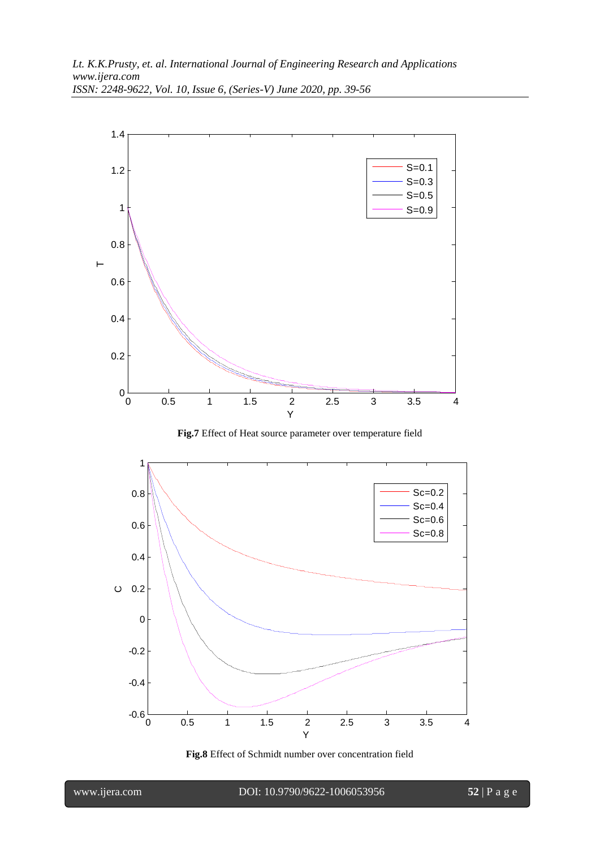

**Fig.7** Effect of Heat source parameter over temperature field



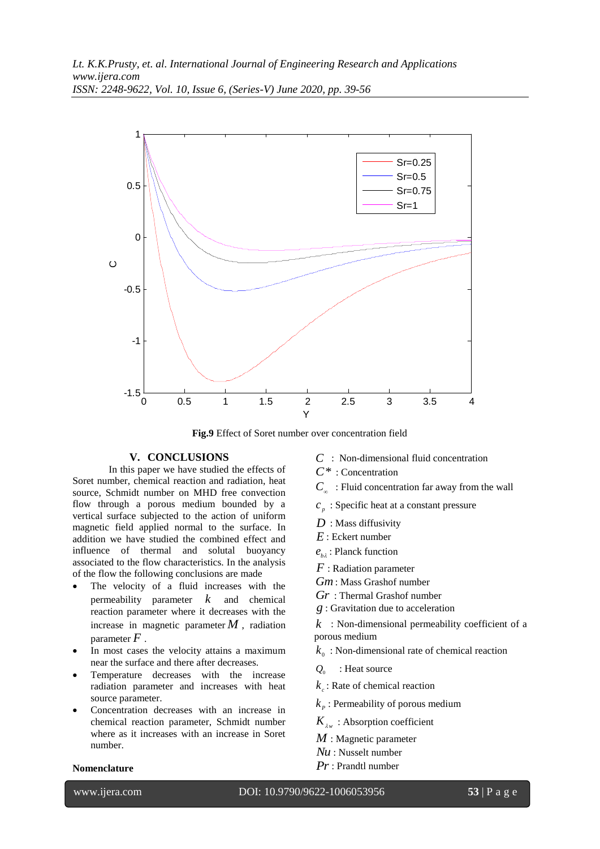

**Fig.9** Effect of Soret number over concentration field

## **V. CONCLUSIONS**

In this paper we have studied the effects of Soret number, chemical reaction and radiation, heat source, Schmidt number on MHD free convection flow through a porous medium bounded by a vertical surface subjected to the action of uniform magnetic field applied normal to the surface. In addition we have studied the combined effect and influence of thermal and solutal buoyancy associated to the flow characteristics. In the analysis of the flow the following conclusions are made

- The velocity of a fluid increases with the permeability parameter *k* and chemical reaction parameter where it decreases with the increase in magnetic parameter  $M$ , radiation parameter *F* .
- In most cases the velocity attains a maximum near the surface and there after decreases.
- Temperature decreases with the increase radiation parameter and increases with heat source parameter.
- Concentration decreases with an increase in chemical reaction parameter, Schmidt number where as it increases with an increase in Soret number.

# *C* : Non-dimensional fluid concentration

- *C*\* : Concentration
- $C_{\infty}$ : Fluid concentration far away from the wall
- $c_p$ : Specific heat at a constant pressure
- *D* : Mass diffusivity
- *E* : Eckert number
- *b e* : Planck function
- *F* : Radiation parameter
- *Gm* : Mass Grashof number
- *Gr* : Thermal Grashof number
- *g* : Gravitation due to acceleration

 $k$ : Non-dimensional permeability coefficient of a porous medium

- $k_{0}$ : Non-dimensional rate of chemical reaction
- $O<sub>0</sub>$ : Heat source
- $k_c$ : Rate of chemical reaction
- $k_{\scriptscriptstyle P}$  : Permeability of porous medium
- $K_{\lambda w}$ : Absorption coefficient
- *M* : Magnetic parameter
- *Nu* : Nusselt number
- *Pr* : Prandtl number

## **Nomenclature**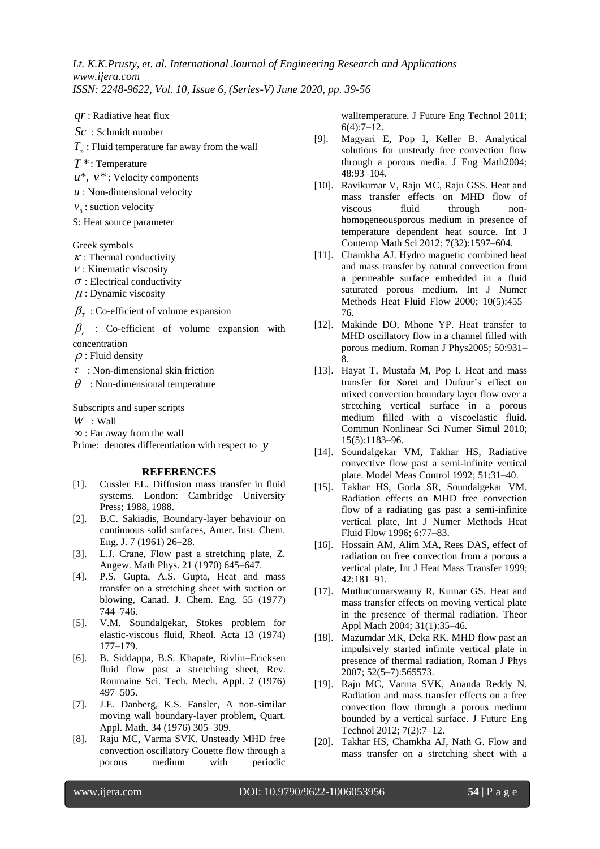$qr$ : Radiative heat flux

*Sc* : Schmidt number

*T* : Fluid temperature far away from the wall

*T* \* : Temperature

 $u^*$ ,  $v^*$ : Velocity components

- *u* : Non-dimensional velocity
- $v_0$ : suction velocity
- S: Heat source parameter

Greek symbols

 $\kappa$ : Thermal conductivity

- $\nu$ : Kinematic viscosity
- $\sigma$ : Electrical conductivity
- $\mu$ : Dynamic viscosity
- $\beta_{\scriptscriptstyle T}$  : Co-efficient of volume expansion

 $\beta_c$  : Co-efficient of volume expansion with concentration

 $\rho$ : Fluid density

 $\tau$ : Non-dimensional skin friction

 $\theta$ : Non-dimensional temperature

Subscripts and super scripts

*W* : Wall

: Far away from the wall

Prime: denotes differentiation with respect to *y*

#### **REFERENCES**

- [1]. Cussler EL. Diffusion mass transfer in fluid systems. London: Cambridge University Press; 1988, 1988.
- [2]. B.C. Sakiadis, Boundary-layer behaviour on continuous solid surfaces, Amer. Inst. Chem. Eng. J. 7 (1961) 26–28.
- [3]. L.J. Crane, Flow past a stretching plate, Z. Angew. Math Phys. 21 (1970) 645–647.
- [4]. P.S. Gupta, A.S. Gupta, Heat and mass transfer on a stretching sheet with suction or blowing, Canad. J. Chem. Eng. 55 (1977) 744–746.
- [5]. V.M. Soundalgekar, Stokes problem for elastic-viscous fluid, Rheol. Acta 13 (1974) 177–179.
- [6]. B. Siddappa, B.S. Khapate, Rivlin–Ericksen fluid flow past a stretching sheet, Rev. Roumaine Sci. Tech. Mech. Appl. 2 (1976) 497–505.
- [7]. J.E. Danberg, K.S. Fansler, A non-similar moving wall boundary-layer problem, Quart. Appl. Math. 34 (1976) 305–309.
- [8]. Raju MC, Varma SVK. Unsteady MHD free convection oscillatory Couette flow through a porous medium with periodic

walltemperature. J Future Eng Technol 2011; 6(4):7–12.

- [9]. Magyari E, Pop I, Keller B. Analytical solutions for unsteady free convection flow through a porous media. J Eng Math2004; 48:93–104.
- [10]. Ravikumar V, Raju MC, Raju GSS. Heat and mass transfer effects on MHD flow of viscous fluid through nonhomogeneousporous medium in presence of temperature dependent heat source. Int J Contemp Math Sci 2012; 7(32):1597–604.
- [11]. Chamkha AJ. Hydro magnetic combined heat and mass transfer by natural convection from a permeable surface embedded in a fluid saturated porous medium. Int J Numer Methods Heat Fluid Flow 2000; 10(5):455– 76.
- [12]. Makinde DO, Mhone YP. Heat transfer to MHD oscillatory flow in a channel filled with porous medium. Roman J Phys2005; 50:931– 8.
- For the best best three interests of the specific specific specific specific specific specific specific specific specific specific specific specific specific specific specific specific specific specific specific specific [13]. Hayat T, Mustafa M, Pop I. Heat and mass transfer for Soret and Dufour's effect on mixed convection boundary layer flow over a stretching vertical surface in a porous medium filled with a viscoelastic fluid. Commun Nonlinear Sci Numer Simul 2010; 15(5):1183–96.
	- [14]. Soundalgekar VM, Takhar HS, Radiative convective flow past a semi-infinite vertical plate. Model Meas Control 1992; 51:31–40.
	- [15]. Takhar HS, Gorla SR, Soundalgekar VM. Radiation effects on MHD free convection flow of a radiating gas past a semi-infinite vertical plate, Int J Numer Methods Heat Fluid Flow 1996; 6:77–83.
	- [16]. Hossain AM, Alim MA, Rees DAS, effect of radiation on free convection from a porous a vertical plate, Int J Heat Mass Transfer 1999; 42:181–91.
	- [17]. Muthucumarswamy R, Kumar GS, Heat and mass transfer effects on moving vertical plate in the presence of thermal radiation. Theor Appl Mach 2004; 31(1):35–46.
	- [18]. Mazumdar MK, Deka RK. MHD flow past an impulsively started infinite vertical plate in presence of thermal radiation, Roman J Phys 2007; 52(5–7):565573.
	- [19]. Raju MC, Varma SVK, Ananda Reddy N. Radiation and mass transfer effects on a free convection flow through a porous medium bounded by a vertical surface. J Future Eng Technol 2012; 7(2):7–12.
	- [20]. Takhar HS, Chamkha AJ, Nath G. Flow and mass transfer on a stretching sheet with a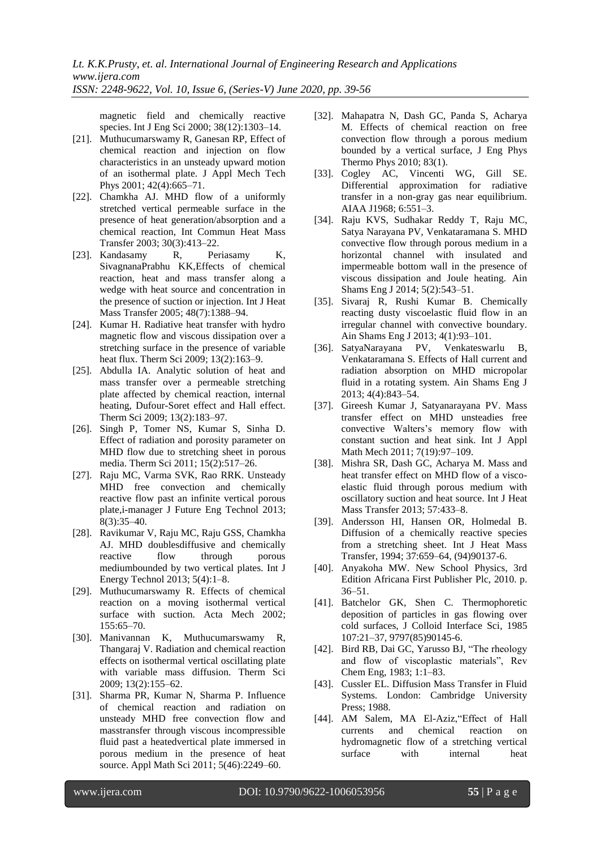magnetic field and chemically reactive species. Int J Eng Sci 2000; 38(12):1303–14.

- [21]. Muthucumarswamy R, Ganesan RP, Effect of chemical reaction and injection on flow characteristics in an unsteady upward motion of an isothermal plate. J Appl Mech Tech Phys 2001; 42(4):665-71.
- [22]. Chamkha AJ. MHD flow of a uniformly stretched vertical permeable surface in the presence of heat generation/absorption and a chemical reaction, Int Commun Heat Mass Transfer 2003; 30(3):413–22.
- [23]. Kandasamy R, Periasamy K, SivagnanaPrabhu KK,Effects of chemical reaction, heat and mass transfer along a wedge with heat source and concentration in the presence of suction or injection. Int J Heat Mass Transfer 2005; 48(7):1388–94.
- [24]. Kumar H. Radiative heat transfer with hydro magnetic flow and viscous dissipation over a stretching surface in the presence of variable heat flux. Therm Sci 2009; 13(2):163–9.
- [25]. Abdulla IA. Analytic solution of heat and mass transfer over a permeable stretching plate affected by chemical reaction, internal heating, Dufour-Soret effect and Hall effect. Therm Sci 2009; 13(2):183–97.
- [26]. Singh P, Tomer NS, Kumar S, Sinha D. Effect of radiation and porosity parameter on MHD flow due to stretching sheet in porous media. Therm Sci 2011; 15(2):517–26.
- [27]. Raju MC, Varma SVK, Rao RRK. Unsteady MHD free convection and chemically reactive flow past an infinite vertical porous plate,i-manager J Future Eng Technol 2013; 8(3):35–40.
- [28]. Ravikumar V, Raju MC, Raju GSS, Chamkha AJ. MHD doublesdiffusive and chemically reactive flow through porous mediumbounded by two vertical plates. Int J Energy Technol 2013; 5(4):1–8.
- [29]. Muthucumarswamy R. Effects of chemical reaction on a moving isothermal vertical surface with suction. Acta Mech 2002; 155:65–70.
- [30]. Manivannan K, Muthucumarswamy R, Thangaraj V. Radiation and chemical reaction effects on isothermal vertical oscillating plate with variable mass diffusion. Therm Sci 2009; 13(2):155–62.
- [31]. Sharma PR, Kumar N, Sharma P. Influence of chemical reaction and radiation on unsteady MHD free convection flow and masstransfer through viscous incompressible fluid past a heatedvertical plate immersed in porous medium in the presence of heat source. Appl Math Sci 2011; 5(46):2249–60.
- [32]. Mahapatra N, Dash GC, Panda S, Acharya M. Effects of chemical reaction on free convection flow through a porous medium bounded by a vertical surface, J Eng Phys Thermo Phys 2010; 83(1).
- [33]. Cogley AC, Vincenti WG, Gill SE. Differential approximation for radiative transfer in a non-gray gas near equilibrium. AIAA J1968; 6:551–3.
- [34]. Raju KVS, Sudhakar Reddy T, Raju MC, Satya Narayana PV, Venkataramana S. MHD convective flow through porous medium in a horizontal channel with insulated and impermeable bottom wall in the presence of viscous dissipation and Joule heating. Ain Shams Eng J 2014; 5(2):543–51.
- [35]. Sivaraj R, Rushi Kumar B. Chemically reacting dusty viscoelastic fluid flow in an irregular channel with convective boundary. Ain Shams Eng J 2013; 4(1):93–101.
- [36]. SatyaNarayana PV, Venkateswarlu B, Venkataramana S. Effects of Hall current and radiation absorption on MHD micropolar fluid in a rotating system. Ain Shams Eng J 2013; 4(4):843–54.
- [37]. Gireesh Kumar J, Satyanarayana PV. Mass transfer effect on MHD unsteadies free convective Walters's memory flow with constant suction and heat sink. Int J Appl Math Mech 2011; 7(19):97–109.
- [38]. Mishra SR, Dash GC, Acharya M. Mass and heat transfer effect on MHD flow of a viscoelastic fluid through porous medium with oscillatory suction and heat source. Int J Heat Mass Transfer 2013; 57:433–8.
- [39]. Andersson HI, Hansen OR, Holmedal B. Diffusion of a chemically reactive species from a stretching sheet. Int J Heat Mass Transfer, 1994; 37:659–64, (94)90137-6.
- [40]. Anyakoha MW. New School Physics, 3rd Edition Africana First Publisher Plc, 2010. p. 36–51.
- [41]. Batchelor GK, Shen C. Thermophoretic deposition of particles in gas flowing over cold surfaces, J Colloid Interface Sci, 1985 107:21–37, 9797(85)90145-6.
- [42]. Bird RB, Dai GC, Yarusso BJ, "The rheology and flow of viscoplastic materials", Rev Chem Eng, 1983; 1:1–83.
- [43]. Cussler EL. Diffusion Mass Transfer in Fluid Systems. London: Cambridge University Press; 1988.
- [44]. AM Salem, MA El-Aziz,"Effect of Hall currents and chemical reaction on hydromagnetic flow of a stretching vertical surface with internal heat